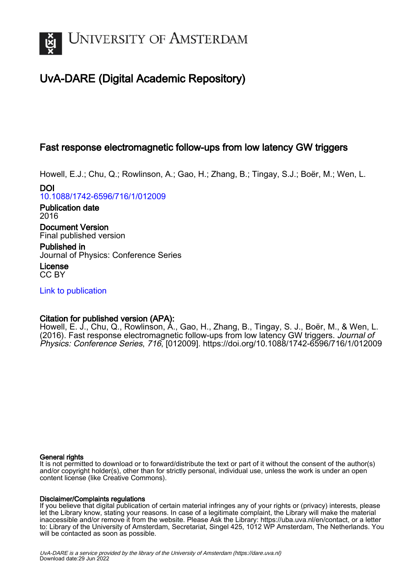

# UvA-DARE (Digital Academic Repository)

# Fast response electromagnetic follow-ups from low latency GW triggers

Howell, E.J.; Chu, Q.; Rowlinson, A.; Gao, H.; Zhang, B.; Tingay, S.J.; Boër, M.; Wen, L.

DOI [10.1088/1742-6596/716/1/012009](https://doi.org/10.1088/1742-6596/716/1/012009)

Publication date 2016 Document Version Final published version

Published in Journal of Physics: Conference Series

License CC BY

[Link to publication](https://dare.uva.nl/personal/pure/en/publications/fast-response-electromagnetic-followups-from-low-latency-gw-triggers(637bb5f1-632c-4551-bd8e-f1b19f4ef712).html)

# Citation for published version (APA):

Howell, E. J., Chu, Q., Rowlinson, A., Gao, H., Zhang, B., Tingay, S. J., Boër, M., & Wen, L. (2016). Fast response electromagnetic follow-ups from low latency GW triggers. Journal of Physics: Conference Series, 716, [012009]. <https://doi.org/10.1088/1742-6596/716/1/012009>

### General rights

It is not permitted to download or to forward/distribute the text or part of it without the consent of the author(s) and/or copyright holder(s), other than for strictly personal, individual use, unless the work is under an open content license (like Creative Commons).

### Disclaimer/Complaints regulations

If you believe that digital publication of certain material infringes any of your rights or (privacy) interests, please let the Library know, stating your reasons. In case of a legitimate complaint, the Library will make the material inaccessible and/or remove it from the website. Please Ask the Library: https://uba.uva.nl/en/contact, or a letter to: Library of the University of Amsterdam, Secretariat, Singel 425, 1012 WP Amsterdam, The Netherlands. You will be contacted as soon as possible.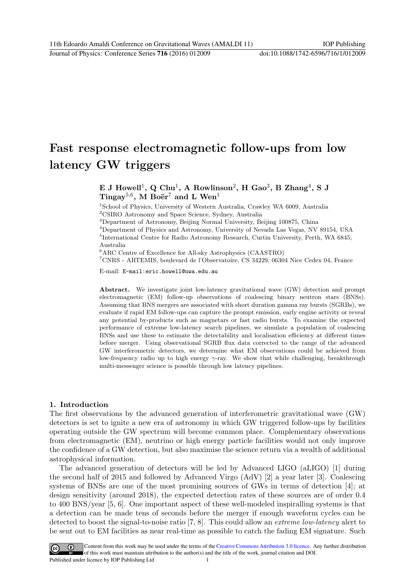Journal of Physics: Conference Series **716** (2016) 012009 doi:10.1088/1742-6596/716/1/012009

# Fast response electromagnetic follow-ups from low latency GW triggers

# E J Howell<sup>1</sup>, Q Chu<sup>1</sup>, A Rowlinson<sup>2</sup>, H Gao<sup>3</sup>, B Zhang<sup>4</sup>, S J Tingay<sup>5,6</sup>, M Boër<sup>7</sup> and L Wen<sup>1</sup>

<sup>1</sup>School of Physics, University of Western Australia, Crawley WA 6009, Australia <sup>2</sup>CSIRO Astronomy and Space Science, Sydney, Australia

<sup>3</sup>Department of Astronomy, Beijing Normal University, Beijing 100875, China

<sup>4</sup>Department of Physics and Astronomy, University of Nevada Las Vegas, NV 89154, USA 5 International Centre for Radio Astronomy Research, Curtin University, Perth, WA 6845, Australia

<sup>6</sup>ARC Centre of Excellence for All-sky Astrophysics (CAASTRO)

<sup>7</sup>CNRS - ARTEMIS, boulevard de l'Observatoire, CS 34229, 06304 Nice Cedex 04, France

E-mail: E-mail:eric.howell@uwa.edu.au

Abstract. We investigate joint low-latency gravitational wave (GW) detection and prompt electromagnetic (EM) follow-up observations of coalescing binary neutron stars (BNSs). Assuming that BNS mergers are associated with short duration gamma ray bursts (SGRBs), we evaluate if rapid EM follow-ups can capture the prompt emission, early engine activity or reveal any potential by-products such as magnetars or fast radio bursts. To examine the expected performance of extreme low-latency search pipelines, we simulate a population of coalescing BNSs and use these to estimate the detectability and localisation efficiency at different times before merger. Using observational SGRB flux data corrected to the range of the advanced GW interferometric detectors, we determine what EM observations could be achieved from low-frequency radio up to high energy  $\gamma$ -ray. We show that while challenging, breakthrough multi-messenger science is possible through low latency pipelines.

## 1. Introduction

The first observations by the advanced generation of interferometric gravitational wave (GW) detectors is set to ignite a new era of astronomy in which GW triggered follow-ups by facilities operating outside the GW spectrum will become common place. Complementary observations from electromagnetic (EM), neutrino or high energy particle facilities would not only improve the confidence of a GW detection, but also maximise the science return via a wealth of additional astrophysical information.

The advanced generation of detectors will be led by Advanced LIGO (aLIGO) [1] during the second half of 2015 and followed by Advanced Virgo (AdV) [2] a year later [3]. Coalescing systems of BNSs are one of the most promising sources of GWs in terms of detection [4]; at design sensitivity (around 2018), the expected detection rates of these sources are of order 0.4 to 400 BNS/year [5, 6]. One important aspect of these well-modeled inspiralling systems is that a detection can be made tens of seconds before the merger if enough waveform cycles can be detected to boost the signal-to-noise ratio [7, 8]. This could allow an extreme low-latency alert to be sent out to EM facilities as near real-time as possible to catch the fading EM signature. Such

Content from this work may be used under the terms of the Creative Commons Attribution 3.0 licence. Any further distribution  $(cc)$ of this work must maintain attribution to the author(s) and the title of the work, journal citation and DOI. Published under licence by IOP Publishing Ltd 1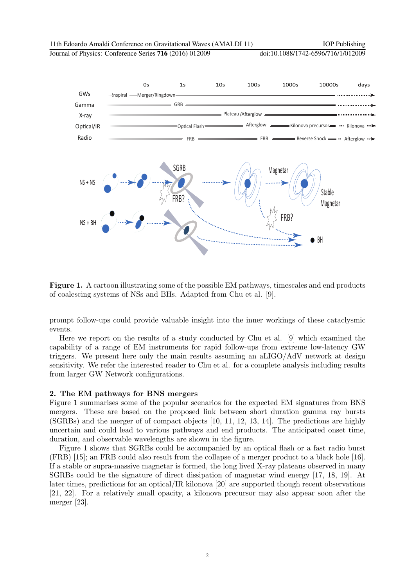Journal of Physics: Conference Series **716** (2016) 012009 doi:10.1088/1742-6596/716/1/012009



Figure 1. A cartoon illustrating some of the possible EM pathways, timescales and end products of coalescing systems of NSs and BHs. Adapted from Chu et al. [9].

prompt follow-ups could provide valuable insight into the inner workings of these cataclysmic events.

Here we report on the results of a study conducted by Chu et al. [9] which examined the capability of a range of EM instruments for rapid follow-ups from extreme low-latency GW triggers. We present here only the main results assuming an aLIGO/AdV network at design sensitivity. We refer the interested reader to Chu et al. for a complete analysis including results from larger GW Network configurations.

#### 2. The EM pathways for BNS mergers

Figure 1 summarises some of the popular scenarios for the expected EM signatures from BNS mergers. These are based on the proposed link between short duration gamma ray bursts (SGRBs) and the merger of of compact objects [10, 11, 12, 13, 14]. The predictions are highly uncertain and could lead to various pathways and end products. The anticipated onset time, duration, and observable wavelengths are shown in the figure.

Figure 1 shows that SGRBs could be accompanied by an optical flash or a fast radio burst (FRB) [15]; an FRB could also result from the collapse of a merger product to a black hole [16]. If a stable or supra-massive magnetar is formed, the long lived X-ray plateaus observed in many SGRBs could be the signature of direct dissipation of magnetar wind energy [17, 18, 19]. At later times, predictions for an optical/IR kilonova [20] are supported though recent observations [21, 22]. For a relatively small opacity, a kilonova precursor may also appear soon after the merger [23].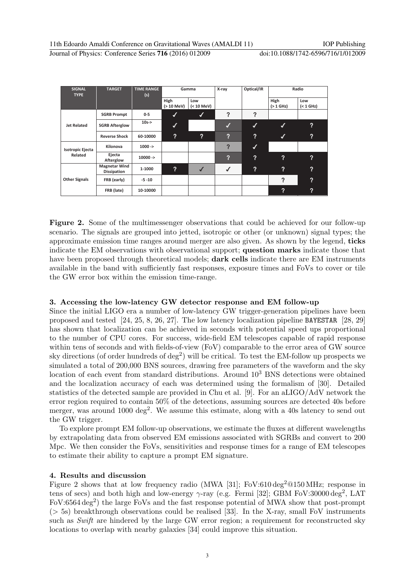Journal of Physics: Conference Series 716 (2016) 012009

| --- - ----------                   |  |  |
|------------------------------------|--|--|
| doi:10.1088/1742-6596/716/1/012009 |  |  |

| <b>SIGNAL</b><br><b>TYPE</b> | <b>TARGET</b>                              | <b>TIME RANGE</b><br>Gamma<br>(s) |                    |                            | X-ray          | Optical/IR       | Radio                      |                            |
|------------------------------|--------------------------------------------|-----------------------------------|--------------------|----------------------------|----------------|------------------|----------------------------|----------------------------|
|                              |                                            |                                   | High<br>(> 10 MeV) | Low<br>(< 10 MeV)          |                |                  | High<br>$(> 1$ GHz)        | Low<br>( <sub>1</sub> GHz) |
|                              | <b>SGRB Prompt</b>                         | $0-5$                             | V                  | V                          | ?              | ?                |                            |                            |
| <b>Jet Related</b>           | <b>SGRB Afterglow</b>                      | $10s - >$                         | $\checkmark$       |                            | M              | U                | √                          | $\boldsymbol{\mathsf{?}}$  |
|                              | <b>Reverse Shock</b>                       | 60-10000                          | ?                  | $\boldsymbol{\mathcal{P}}$ | ?              | $\boldsymbol{?}$ | √                          | $\boldsymbol{\mathsf{?}}$  |
| <b>Isotropic Ejecta</b>      | Kilonova                                   | $1000 - >$                        |                    |                            | $\overline{?}$ | $\boldsymbol{J}$ |                            |                            |
| Related                      | Ejecta<br>Afterglow                        | $10000 - >$                       |                    |                            | ?              | ?                | ?                          | $\boldsymbol{\mathsf{?}}$  |
|                              | <b>Magnetar Wind</b><br><b>Dissipation</b> | 1-1000                            | $\mathbf{?}$       | $\sqrt{}$                  | √              | ?                | $\mathbf{P}$               | ?                          |
| <b>Other Signals</b>         | FRB (early)                                | $-5 - 10$                         |                    |                            |                |                  | $\mathbf{P}$               | $\boldsymbol{\mathcal{P}}$ |
|                              | FRB (late)                                 | 10-10000                          |                    |                            |                |                  | $\boldsymbol{\mathcal{P}}$ | $\boldsymbol{?}$           |

Figure 2. Some of the multimessenger observations that could be achieved for our follow-up scenario. The signals are grouped into jetted, isotropic or other (or unknown) signal types; the approximate emission time ranges around merger are also given. As shown by the legend, ticks indicate the EM observations with observational support; question marks indicate those that have been proposed through theoretical models; **dark cells** indicate there are EM instruments available in the band with sufficiently fast responses, exposure times and FoVs to cover or tile the GW error box within the emission time-range.

### 3. Accessing the low-latency GW detector response and EM follow-up

Since the initial LIGO era a number of low-latency GW trigger-generation pipelines have been proposed and tested [24, 25, 8, 26, 27]. The low latency localization pipeline BAYESTAR [28, 29] has shown that localization can be achieved in seconds with potential speed ups proportional to the number of CPU cores. For success, wide-field EM telescopes capable of rapid response within tens of seconds and with fields-of-view (FoV) comparable to the error area of GW source sky directions (of order hundreds of  $\text{deg}^2$ ) will be critical. To test the EM-follow up prospects we simulated a total of 200,000 BNS sources, drawing free parameters of the waveform and the sky location of each event from standard distributions. Around  $10^3$  BNS detections were obtained and the localization accuracy of each was determined using the formalism of [30]. Detailed statistics of the detected sample are provided in Chu et al. [9]. For an aLIGO/AdV network the error region required to contain 50% of the detections, assuming sources are detected 40s before merger, was around 1000 deg<sup>2</sup>. We assume this estimate, along with a 40s latency to send out the GW trigger.

To explore prompt EM follow-up observations, we estimate the fluxes at different wavelengths by extrapolating data from observed EM emissions associated with SGRBs and convert to 200 Mpc. We then consider the FoVs, sensitivities and response times for a range of EM telescopes to estimate their ability to capture a prompt EM signature.

### 4. Results and discussion

Figure 2 shows that at low frequency radio (MWA [31]; FoV: $610 \text{ deg}^2$  $@150 \text{ MHz}$ ; response in tens of secs) and both high and low-energy  $\gamma$ -ray (e.g. Fermi [32]; GBM FoV:30000 deg<sup>2</sup>, LAT FoV:6564 deg<sup>2</sup>) the large FoVs and the fast response potential of MWA show that post-prompt  $($  > 5s) breakthrough observations could be realised [33]. In the X-ray, small FoV instruments such as Swift are hindered by the large GW error region; a requirement for reconstructed sky locations to overlap with nearby galaxies [34] could improve this situation.